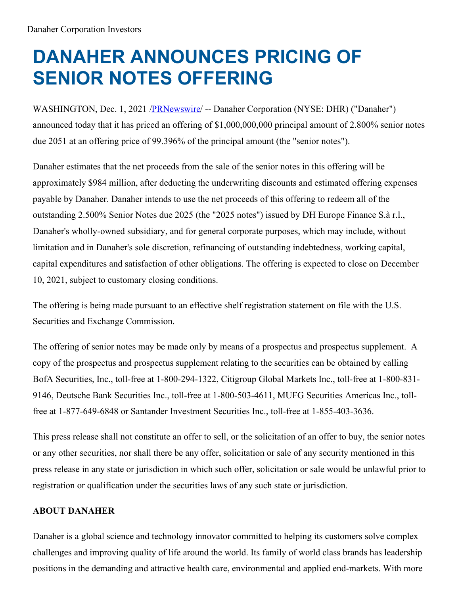## **DANAHER ANNOUNCES PRICING OF SENIOR NOTES OFFERING**

WASHINGTON, Dec. 1, 2021 [/PRNewswire](http://www.prnewswire.com/)/ -- Danaher Corporation (NYSE: DHR) ("Danaher") announced today that it has priced an offering of \$1,000,000,000 principal amount of 2.800% senior notes due 2051 at an offering price of 99.396% of the principal amount (the "senior notes").

Danaher estimates that the net proceeds from the sale of the senior notes in this offering will be approximately \$984 million, after deducting the underwriting discounts and estimated offering expenses payable by Danaher. Danaher intends to use the net proceeds of this offering to redeem all of the outstanding 2.500% Senior Notes due 2025 (the "2025 notes") issued by DH Europe Finance S.à r.l., Danaher's wholly-owned subsidiary, and for general corporate purposes, which may include, without limitation and in Danaher's sole discretion, refinancing of outstanding indebtedness, working capital, capital expenditures and satisfaction of other obligations. The offering is expected to close on December 10, 2021, subject to customary closing conditions.

The offering is being made pursuant to an effective shelf registration statement on file with the U.S. Securities and Exchange Commission.

The offering of senior notes may be made only by means of a prospectus and prospectus supplement. A copy of the prospectus and prospectus supplement relating to the securities can be obtained by calling BofA Securities, Inc., toll-free at 1-800-294-1322, Citigroup Global Markets Inc., toll-free at 1-800-831- 9146, Deutsche Bank Securities Inc., toll-free at 1-800-503-4611, MUFG Securities Americas Inc., tollfree at 1-877-649-6848 or Santander Investment Securities Inc., toll-free at 1-855-403-3636.

This press release shall not constitute an offer to sell, or the solicitation of an offer to buy, the senior notes or any other securities, nor shall there be any offer, solicitation or sale of any security mentioned in this press release in any state or jurisdiction in which such offer, solicitation or sale would be unlawful prior to registration or qualification under the securities laws of any such state or jurisdiction.

## **ABOUT DANAHER**

Danaher is a global science and technology innovator committed to helping its customers solve complex challenges and improving quality of life around the world. Its family of world class brands has leadership positions in the demanding and attractive health care, environmental and applied end-markets. With more